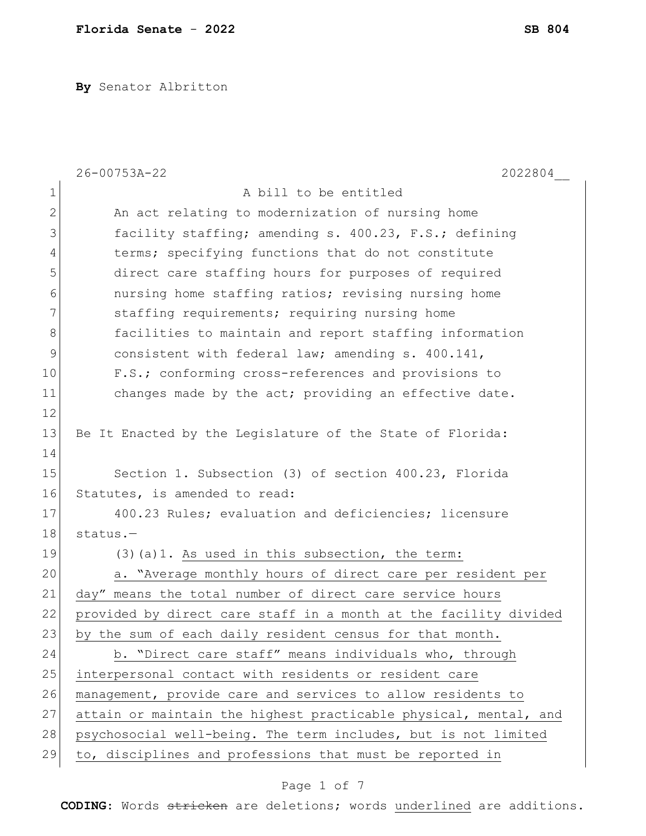**By** Senator Albritton

|              | 26-00753A-22<br>2022804                                          |
|--------------|------------------------------------------------------------------|
| 1            | A bill to be entitled                                            |
| $\mathbf{2}$ | An act relating to modernization of nursing home                 |
| 3            | facility staffing; amending s. 400.23, F.S.; defining            |
| 4            | terms; specifying functions that do not constitute               |
| 5            | direct care staffing hours for purposes of required              |
| 6            | nursing home staffing ratios; revising nursing home              |
| 7            | staffing requirements; requiring nursing home                    |
| $8\,$        | facilities to maintain and report staffing information           |
| 9            | consistent with federal law; amending s. 400.141,                |
| 10           | F.S.; conforming cross-references and provisions to              |
| 11           | changes made by the act; providing an effective date.            |
| 12           |                                                                  |
| 13           | Be It Enacted by the Legislature of the State of Florida:        |
| 14           |                                                                  |
| 15           | Section 1. Subsection (3) of section 400.23, Florida             |
| 16           | Statutes, is amended to read:                                    |
| 17           | 400.23 Rules; evaluation and deficiencies; licensure             |
| 18           | $status.$ -                                                      |
| 19           | $(3)$ (a)1. As used in this subsection, the term:                |
| 20           | a. "Average monthly hours of direct care per resident per        |
| 21           | day" means the total number of direct care service hours         |
| 22           | provided by direct care staff in a month at the facility divided |
| 23           | by the sum of each daily resident census for that month.         |
| 24           | b. "Direct care staff" means individuals who, through            |
| 25           | interpersonal contact with residents or resident care            |
| 26           | management, provide care and services to allow residents to      |
| 27           | attain or maintain the highest practicable physical, mental, and |
| 28           | psychosocial well-being. The term includes, but is not limited   |
| 29           | to, disciplines and professions that must be reported in         |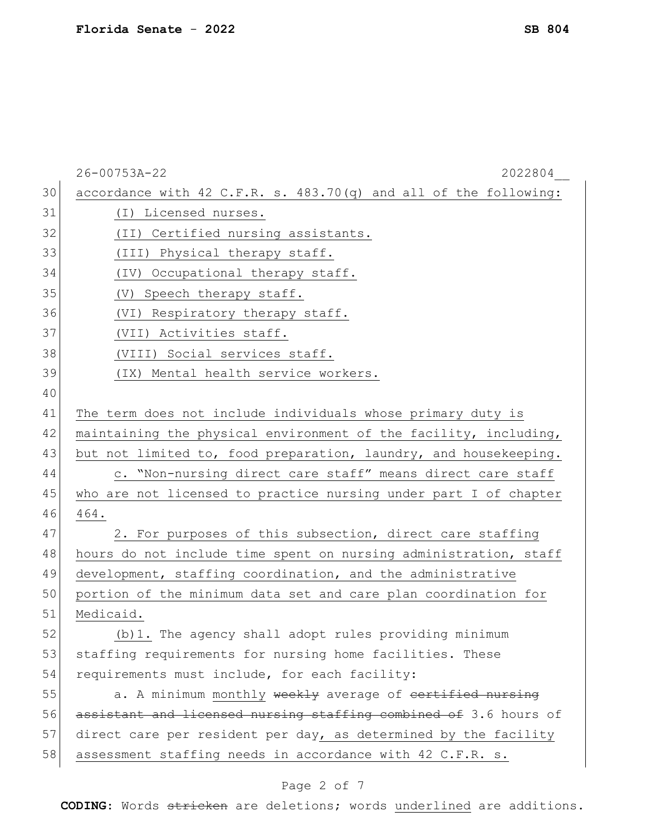|    | 26-00753A-22<br>2022804                                          |
|----|------------------------------------------------------------------|
| 30 | accordance with 42 C.F.R. s. 483.70(q) and all of the following: |
| 31 | (I) Licensed nurses.                                             |
| 32 | (II) Certified nursing assistants.                               |
| 33 | (III) Physical therapy staff.                                    |
| 34 | (IV) Occupational therapy staff.                                 |
| 35 | (V)<br>Speech therapy staff.                                     |
| 36 | (VI) Respiratory therapy staff.                                  |
| 37 | (VII) Activities staff.                                          |
| 38 | (VIII) Social services staff.                                    |
| 39 | (IX) Mental health service workers.                              |
| 40 |                                                                  |
| 41 | The term does not include individuals whose primary duty is      |
| 42 | maintaining the physical environment of the facility, including, |
| 43 | but not limited to, food preparation, laundry, and housekeeping. |
| 44 | c. "Non-nursing direct care staff" means direct care staff       |
| 45 | who are not licensed to practice nursing under part I of chapter |
| 46 | 464.                                                             |
| 47 | 2. For purposes of this subsection, direct care staffing         |
| 48 | hours do not include time spent on nursing administration, staff |
| 49 | development, staffing coordination, and the administrative       |
| 50 | portion of the minimum data set and care plan coordination for   |
| 51 | Medicaid.                                                        |
| 52 | (b) 1. The agency shall adopt rules providing minimum            |
| 53 | staffing requirements for nursing home facilities. These         |
| 54 | requirements must include, for each facility:                    |
| 55 | a. A minimum monthly weekly average of certified nursing         |
| 56 | assistant and licensed nursing staffing combined of 3.6 hours of |
| 57 | direct care per resident per day, as determined by the facility  |
| 58 | assessment staffing needs in accordance with 42 C.F.R. s.        |
|    | Page 2 of 7                                                      |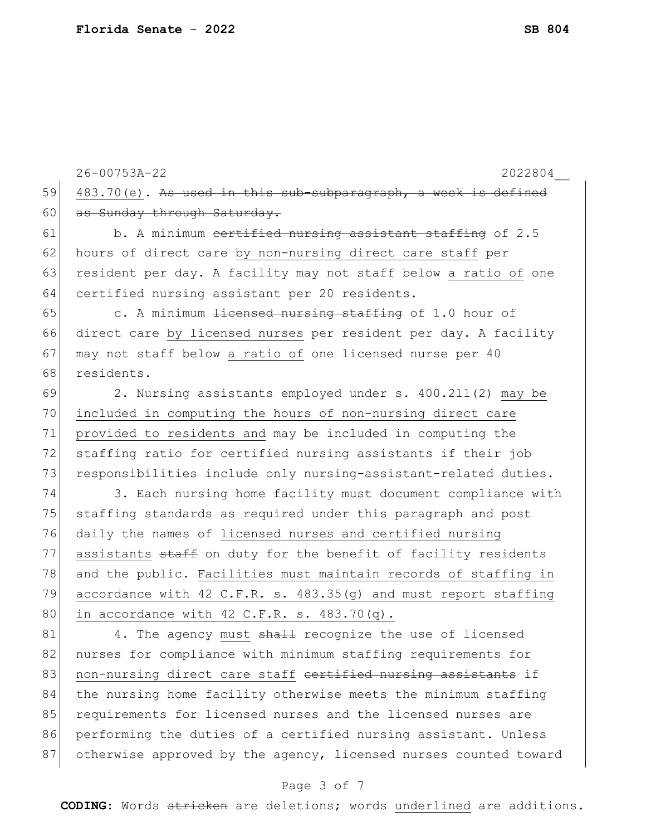26-00753A-22 2022804\_\_ 59 483.70(e). As used in this sub-subparagraph, a week is defined 60 as Sunday through Saturday. 61 b. A minimum <del>certified nursing assistant staffing</del> of 2.5 62 hours of direct care by non-nursing direct care staff per 63 resident per day. A facility may not staff below a ratio of one 64 certified nursing assistant per 20 residents. 65 c. A minimum  $\frac{1}{1}$  is a set at  $\frac{1}{10}$  of 1.0 hour of 66 direct care by licensed nurses per resident per day. A facility 67 may not staff below a ratio of one licensed nurse per 40 68 residents. 69 2. Nursing assistants employed under s. 400.211(2) may be 70 included in computing the hours of non-nursing direct care 71 provided to residents and may be included in computing the 72 staffing ratio for certified nursing assistants if their job 73 responsibilities include only nursing-assistant-related duties. 74 3. Each nursing home facility must document compliance with 75 staffing standards as required under this paragraph and post 76 daily the names of licensed nurses and certified nursing 77 assistants staff on duty for the benefit of facility residents 78 and the public. Facilities must maintain records of staffing in 79 accordance with 42 C.F.R. s. 483.35(g) and must report staffing 80 in accordance with  $42$  C.F.R. s.  $483.70(q)$ . 81 4. The agency must shall recognize the use of licensed 82 nurses for compliance with minimum staffing requirements for 83 non-nursing direct care staff certified nursing assistants if 84 the nursing home facility otherwise meets the minimum staffing 85 requirements for licensed nurses and the licensed nurses are 86 performing the duties of a certified nursing assistant. Unless

## Page 3 of 7

87 otherwise approved by the agency, licensed nurses counted toward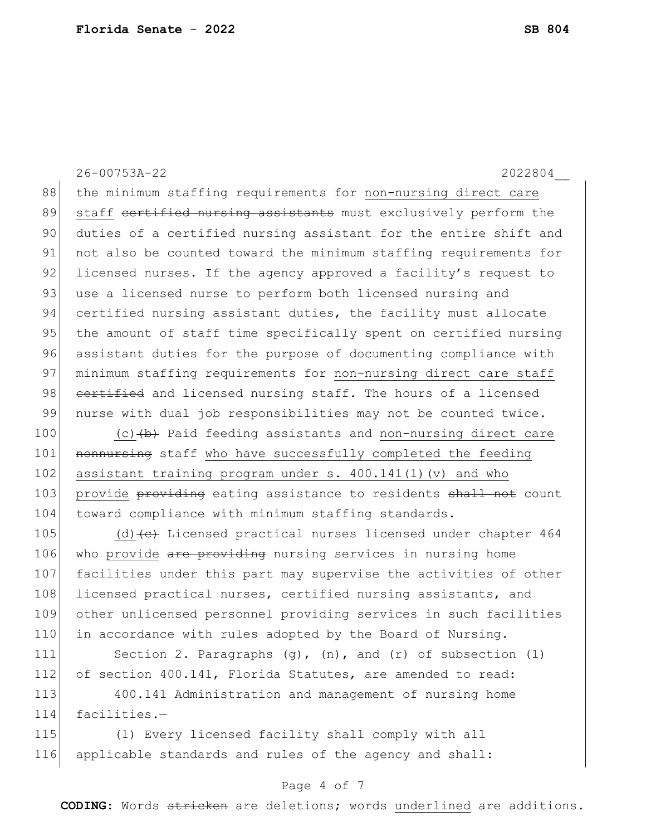26-00753A-22 2022804\_\_ 88 | the minimum staffing requirements for non-nursing direct care 89 staff <del>certified nursing assistants</del> must exclusively perform the 90 duties of a certified nursing assistant for the entire shift and 91 not also be counted toward the minimum staffing requirements for 92 licensed nurses. If the agency approved a facility's request to 93 use a licensed nurse to perform both licensed nursing and 94 certified nursing assistant duties, the facility must allocate 95 the amount of staff time specifically spent on certified nursing 96 assistant duties for the purpose of documenting compliance with 97 | minimum staffing requirements for non-nursing direct care staff 98 certified and licensed nursing staff. The hours of a licensed 99 nurse with dual job responsibilities may not be counted twice. 100 (c) (b) Paid feeding assistants and non-nursing direct care

101 nonnursing staff who have successfully completed the feeding 102 assistant training program under s. 400.141(1)(v) and who 103 provide providing eating assistance to residents shall not count 104 toward compliance with minimum staffing standards.

105 (d)  $\left(e\right)$  Licensed practical nurses licensed under chapter 464 106 who provide are providing nursing services in nursing home 107 facilities under this part may supervise the activities of other 108 licensed practical nurses, certified nursing assistants, and 109 other unlicensed personnel providing services in such facilities 110 in accordance with rules adopted by the Board of Nursing.

111 Section 2. Paragraphs (g), (n), and (r) of subsection (1) 112 of section 400.141, Florida Statutes, are amended to read: 113 400.141 Administration and management of nursing home

114 facilities.—

115 (1) Every licensed facility shall comply with all 116 applicable standards and rules of the agency and shall:

## Page 4 of 7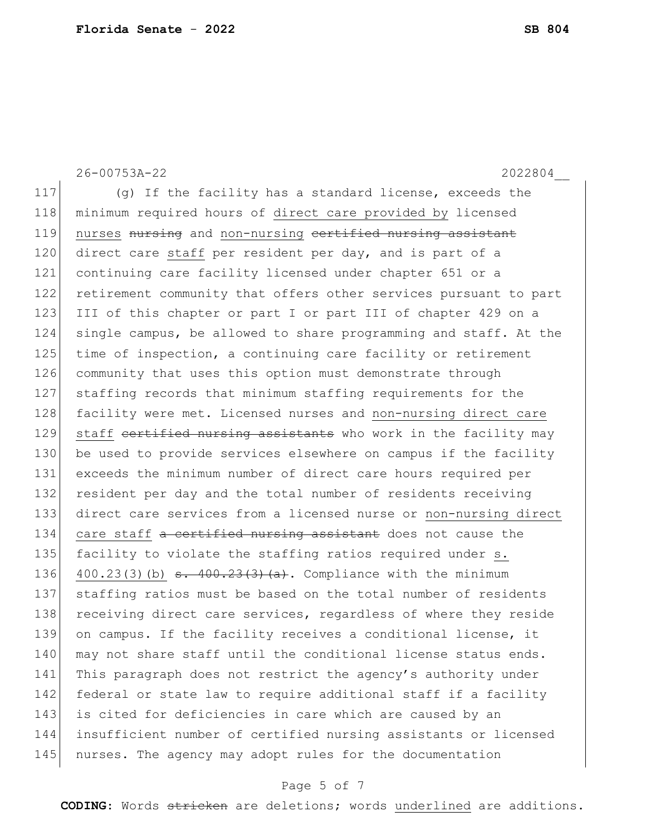26-00753A-22 2022804\_\_ 117 (g) If the facility has a standard license, exceeds the 118 | minimum required hours of direct care provided by licensed 119 nurses nursing and non-nursing certified nursing assistant 120 direct care staff per resident per day, and is part of a 121 continuing care facility licensed under chapter 651 or a 122 retirement community that offers other services pursuant to part 123 III of this chapter or part I or part III of chapter 429 on a 124 single campus, be allowed to share programming and staff. At the 125 time of inspection, a continuing care facility or retirement 126 community that uses this option must demonstrate through 127 staffing records that minimum staffing requirements for the 128 facility were met. Licensed nurses and non-nursing direct care 129 staff cortified nursing assistants who work in the facility may 130 be used to provide services elsewhere on campus if the facility 131 exceeds the minimum number of direct care hours required per 132 resident per day and the total number of residents receiving 133 direct care services from a licensed nurse or non-nursing direct 134 care staff a certified nursing assistant does not cause the 135 facility to violate the staffing ratios required under s. 136 400.23(3)(b)  $\frac{136}{ }$  - 400.23(3)(a). Compliance with the minimum 137 staffing ratios must be based on the total number of residents 138 receiving direct care services, regardless of where they reside 139 on campus. If the facility receives a conditional license, it 140 may not share staff until the conditional license status ends. 141 This paragraph does not restrict the agency's authority under 142 federal or state law to require additional staff if a facility 143 is cited for deficiencies in care which are caused by an 144 insufficient number of certified nursing assistants or licensed 145 nurses. The agency may adopt rules for the documentation

## Page 5 of 7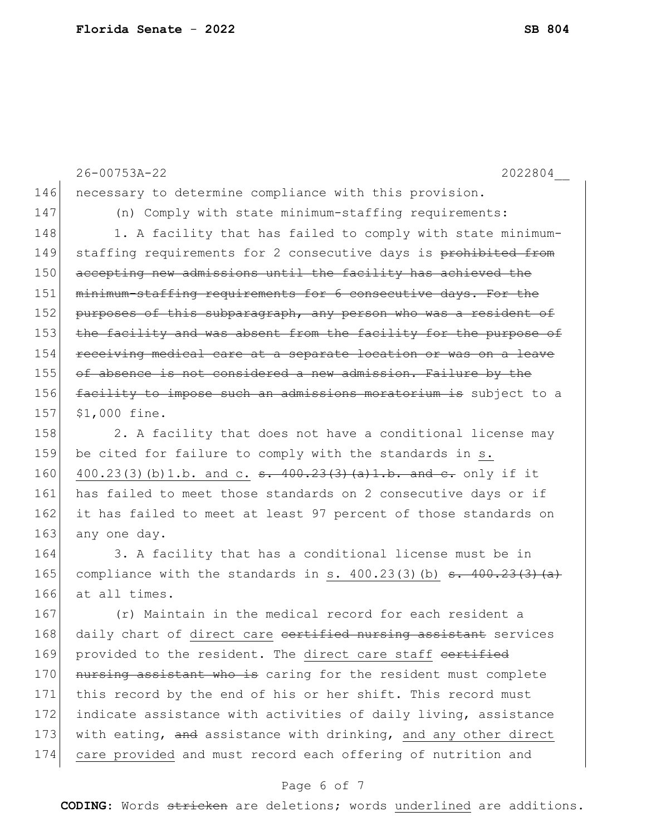26-00753A-22 2022804\_\_ 146 necessary to determine compliance with this provision. 147 (n) Comply with state minimum-staffing requirements: 148 1. A facility that has failed to comply with state minimum-149 staffing requirements for 2 consecutive days is prohibited from 150 accepting new admissions until the facility has achieved the 151 minimum-staffing requirements for 6 consecutive days. For the 152 purposes of this subparagraph, any person who was a resident of 153 the facility and was absent from the facility for the purpose of 154 receiving medical care at a separate location or was on a leave 155 of absence is not considered a new admission. Failure by the 156 facility to impose such an admissions moratorium is subject to a 157 \$1,000 fine. 158 2. A facility that does not have a conditional license may 159 be cited for failure to comply with the standards in s. 160 400.23(3)(b)1.b. and c.  $\frac{1}{9}$ . 400.23(3)(a)1.b. and e. only if it 161 has failed to meet those standards on 2 consecutive days or if 162 it has failed to meet at least 97 percent of those standards on 163 any one day. 164 3. A facility that has a conditional license must be in 165 compliance with the standards in s.  $400.23(3)$  (b)  $\overline{3}$ .  $400.23(3)$  (a) 166 at all times. 167 (r) Maintain in the medical record for each resident a 168 daily chart of direct care certified nursing assistant services 169 provided to the resident. The direct care staff eertified 170 nursing assistant who is caring for the resident must complete 171 this record by the end of his or her shift. This record must 172 indicate assistance with activities of daily living, assistance 173 with eating, and assistance with drinking, and any other direct 174 care provided and must record each offering of nutrition and

## Page 6 of 7